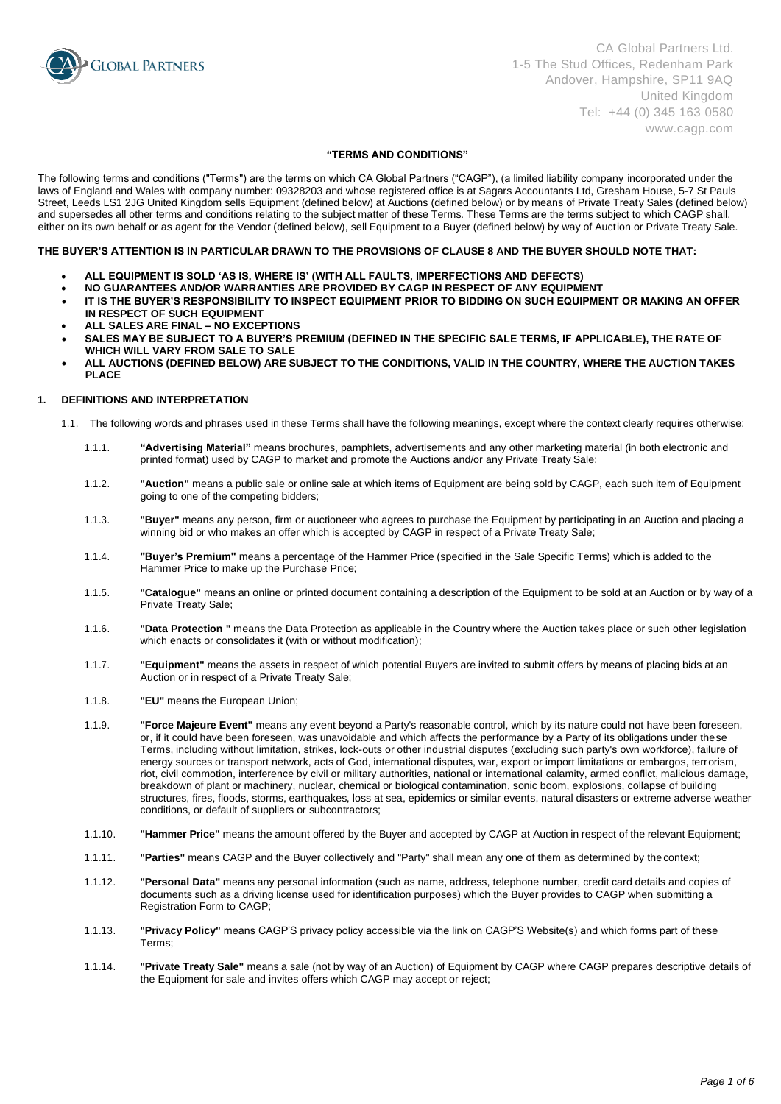

# **"TERMS AND CONDITIONS"**

The following terms and conditions ("Terms") are the terms on which CA Global Partners ("CAGP"), (a limited liability company incorporated under the laws of England and Wales with company number: 09328203 and whose registered office is at Sagars Accountants Ltd, Gresham House, 5-7 St Pauls Street, Leeds LS1 2JG United Kingdom sells Equipment (defined below) at Auctions (defined below) or by means of Private Treaty Sales (defined below) and supersedes all other terms and conditions relating to the subject matter of these Terms. These Terms are the terms subject to which CAGP shall, either on its own behalf or as agent for the Vendor (defined below), sell Equipment to a Buyer (defined below) by way of Auction or Private Treaty Sale.

### **THE BUYER'S ATTENTION IS IN PARTICULAR DRAWN TO THE PROVISIONS OF CLAUSE 8 AND THE BUYER SHOULD NOTE THAT:**

- **ALL EQUIPMENT IS SOLD 'AS IS, WHERE IS' (WITH ALL FAULTS, IMPERFECTIONS AND DEFECTS)**
- **NO GUARANTEES AND/OR WARRANTIES ARE PROVIDED BY CAGP IN RESPECT OF ANY EQUIPMENT**
- **IT IS THE BUYER'S RESPONSIBILITY TO INSPECT EQUIPMENT PRIOR TO BIDDING ON SUCH EQUIPMENT OR MAKING AN OFFER IN RESPECT OF SUCH EQUIPMENT**
- **ALL SALES ARE FINAL – NO EXCEPTIONS**
- SALES MAY BE SUBJECT TO A BUYER'S PREMIUM (DEFINED IN THE SPECIFIC SALE TERMS, IF APPLICABLE), THE RATE OF **WHICH WILL VARY FROM SALE TO SALE**
- **ALL AUCTIONS (DEFINED BELOW) ARE SUBJECT TO THE CONDITIONS, VALID IN THE COUNTRY, WHERE THE AUCTION TAKES PLACE**

# **1. DEFINITIONS AND INTERPRETATION**

- 1.1. The following words and phrases used in these Terms shall have the following meanings, except where the context clearly requires otherwise:
	- 1.1.1. **"Advertising Material"** means brochures, pamphlets, advertisements and any other marketing material (in both electronic and printed format) used by CAGP to market and promote the Auctions and/or any Private Treaty Sale;
	- 1.1.2. **"Auction"** means a public sale or online sale at which items of Equipment are being sold by CAGP, each such item of Equipment going to one of the competing bidders;
	- 1.1.3. **"Buyer"** means any person, firm or auctioneer who agrees to purchase the Equipment by participating in an Auction and placing a winning bid or who makes an offer which is accepted by CAGP in respect of a Private Treaty Sale;
	- 1.1.4. **"Buyer's Premium"** means a percentage of the Hammer Price (specified in the Sale Specific Terms) which is added to the Hammer Price to make up the Purchase Price;
	- 1.1.5. **"Catalogue"** means an online or printed document containing a description of the Equipment to be sold at an Auction or by way of a Private Treaty Sale;
	- 1.1.6. **"Data Protection "** means the Data Protection as applicable in the Country where the Auction takes place or such other legislation which enacts or consolidates it (with or without modification);
	- 1.1.7. **"Equipment"** means the assets in respect of which potential Buyers are invited to submit offers by means of placing bids at an Auction or in respect of a Private Treaty Sale;
	- 1.1.8. **"EU"** means the European Union;
	- 1.1.9. **"Force Majeure Event"** means any event beyond a Party's reasonable control, which by its nature could not have been foreseen, or, if it could have been foreseen, was unavoidable and which affects the performance by a Party of its obligations under these Terms, including without limitation, strikes, lock-outs or other industrial disputes (excluding such party's own workforce), failure of energy sources or transport network, acts of God, international disputes, war, export or import limitations or embargos, terrorism, riot, civil commotion, interference by civil or military authorities, national or international calamity, armed conflict, malicious damage, breakdown of plant or machinery, nuclear, chemical or biological contamination, sonic boom, explosions, collapse of building structures, fires, floods, storms, earthquakes, loss at sea, epidemics or similar events, natural disasters or extreme adverse weather conditions, or default of suppliers or subcontractors;
	- 1.1.10. **"Hammer Price"** means the amount offered by the Buyer and accepted by CAGP at Auction in respect of the relevant Equipment;
	- 1.1.11. **"Parties"** means CAGP and the Buyer collectively and "Party" shall mean any one of them as determined by the context;
	- 1.1.12. **"Personal Data"** means any personal information (such as name, address, telephone number, credit card details and copies of documents such as a driving license used for identification purposes) which the Buyer provides to CAGP when submitting a Registration Form to CAGP;
	- 1.1.13. **"Privacy Policy"** means CAGP'S privacy policy accessible via the link on CAGP'S Website(s) and which forms part of these Terms;
	- 1.1.14. **"Private Treaty Sale"** means a sale (not by way of an Auction) of Equipment by CAGP where CAGP prepares descriptive details of the Equipment for sale and invites offers which CAGP may accept or reject;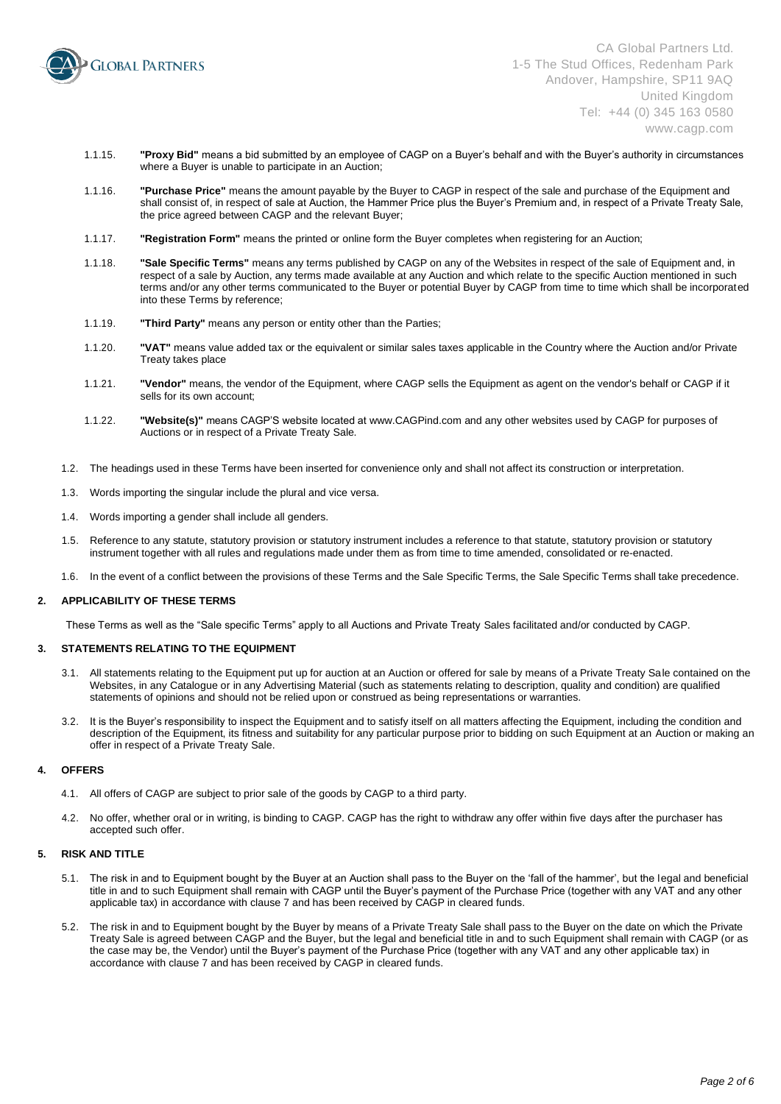

- 1.1.15. **"Proxy Bid"** means a bid submitted by an employee of CAGP on a Buyer's behalf and with the Buyer's authority in circumstances where a Buyer is unable to participate in an Auction;
- 1.1.16. **"Purchase Price"** means the amount payable by the Buyer to CAGP in respect of the sale and purchase of the Equipment and shall consist of, in respect of sale at Auction, the Hammer Price plus the Buyer's Premium and, in respect of a Private Treaty Sale, the price agreed between CAGP and the relevant Buyer;
- 1.1.17. **"Registration Form"** means the printed or online form the Buyer completes when registering for an Auction;
- 1.1.18. **"Sale Specific Terms"** means any terms published by CAGP on any of the Websites in respect of the sale of Equipment and, in respect of a sale by Auction, any terms made available at any Auction and which relate to the specific Auction mentioned in such terms and/or any other terms communicated to the Buyer or potential Buyer by CAGP from time to time which shall be incorporated into these Terms by reference;
- 1.1.19. **"Third Party"** means any person or entity other than the Parties;
- 1.1.20. **"VAT"** means value added tax or the equivalent or similar sales taxes applicable in the Country where the Auction and/or Private Treaty takes place
- 1.1.21. **"Vendor"** means, the vendor of the Equipment, where CAGP sells the Equipment as agent on the vendor's behalf or CAGP if it sells for its own account;
- 1.1.22. **"Website(s)"** means CAGP'S website located a[t www.CAGPind.com a](http://www.cagpind.com/)nd any other websites used by CAGP for purposes of Auctions or in respect of a Private Treaty Sale.
- 1.2. The headings used in these Terms have been inserted for convenience only and shall not affect its construction or interpretation.
- 1.3. Words importing the singular include the plural and vice versa.
- 1.4. Words importing a gender shall include all genders.
- 1.5. Reference to any statute, statutory provision or statutory instrument includes a reference to that statute, statutory provision or statutory instrument together with all rules and regulations made under them as from time to time amended, consolidated or re-enacted.
- 1.6. In the event of a conflict between the provisions of these Terms and the Sale Specific Terms, the Sale Specific Terms shall take precedence.

# **2. APPLICABILITY OF THESE TERMS**

These Terms as well as the "Sale specific Terms" apply to all Auctions and Private Treaty Sales facilitated and/or conducted by CAGP.

# **3. STATEMENTS RELATING TO THE EQUIPMENT**

- 3.1. All statements relating to the Equipment put up for auction at an Auction or offered for sale by means of a Private Treaty Sale contained on the Websites, in any Catalogue or in any Advertising Material (such as statements relating to description, quality and condition) are qualified statements of opinions and should not be relied upon or construed as being representations or warranties.
- 3.2. It is the Buyer's responsibility to inspect the Equipment and to satisfy itself on all matters affecting the Equipment, including the condition and description of the Equipment, its fitness and suitability for any particular purpose prior to bidding on such Equipment at an Auction or making an offer in respect of a Private Treaty Sale.

### **4. OFFERS**

- 4.1. All offers of CAGP are subject to prior sale of the goods by CAGP to a third party.
- 4.2. No offer, whether oral or in writing, is binding to CAGP. CAGP has the right to withdraw any offer within five days after the purchaser has accepted such offer.

# **5. RISK AND TITLE**

- 5.1. The risk in and to Equipment bought by the Buyer at an Auction shall pass to the Buyer on the 'fall of the hammer', but the legal and beneficial title in and to such Equipment shall remain with CAGP until the Buyer's payment of the Purchase Price (together with any VAT and any other applicable tax) in accordance with clause 7 and has been received by CAGP in cleared funds.
- 5.2. The risk in and to Equipment bought by the Buyer by means of a Private Treaty Sale shall pass to the Buyer on the date on which the Private Treaty Sale is agreed between CAGP and the Buyer, but the legal and beneficial title in and to such Equipment shall remain with CAGP (or as the case may be, the Vendor) until the Buyer's payment of the Purchase Price (together with any VAT and any other applicable tax) in accordance with clause 7 and has been received by CAGP in cleared funds.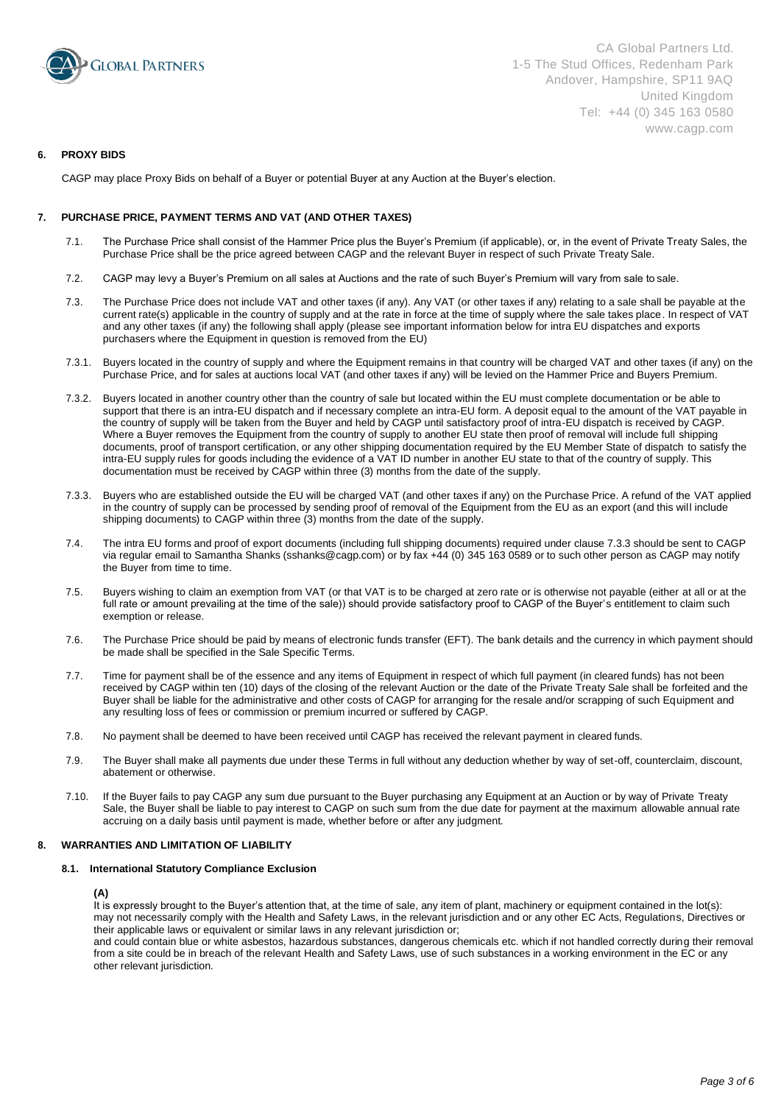

# **6. PROXY BIDS**

CAGP may place Proxy Bids on behalf of a Buyer or potential Buyer at any Auction at the Buyer's election.

# **7. PURCHASE PRICE, PAYMENT TERMS AND VAT (AND OTHER TAXES)**

- 7.1. The Purchase Price shall consist of the Hammer Price plus the Buyer's Premium (if applicable), or, in the event of Private Treaty Sales, the Purchase Price shall be the price agreed between CAGP and the relevant Buyer in respect of such Private Treaty Sale.
- 7.2. CAGP may levy a Buyer's Premium on all sales at Auctions and the rate of such Buyer's Premium will vary from sale to sale.
- 7.3. The Purchase Price does not include VAT and other taxes (if any). Any VAT (or other taxes if any) relating to a sale shall be payable at the current rate(s) applicable in the country of supply and at the rate in force at the time of supply where the sale takes place. In respect of VAT and any other taxes (if any) the following shall apply (please see important information below for intra EU dispatches and exports purchasers where the Equipment in question is removed from the EU)
- 7.3.1. Buyers located in the country of supply and where the Equipment remains in that country will be charged VAT and other taxes (if any) on the Purchase Price, and for sales at auctions local VAT (and other taxes if any) will be levied on the Hammer Price and Buyers Premium.
- 7.3.2. Buyers located in another country other than the country of sale but located within the EU must complete documentation or be able to support that there is an intra-EU dispatch and if necessary complete an intra-EU form. A deposit equal to the amount of the VAT payable in the country of supply will be taken from the Buyer and held by CAGP until satisfactory proof of intra-EU dispatch is received by CAGP. Where a Buyer removes the Equipment from the country of supply to another EU state then proof of removal will include full shipping documents, proof of transport certification, or any other shipping documentation required by the EU Member State of dispatch to satisfy the intra-EU supply rules for goods including the evidence of a VAT ID number in another EU state to that of the country of supply. This documentation must be received by CAGP within three (3) months from the date of the supply.
- 7.3.3. Buyers who are established outside the EU will be charged VAT (and other taxes if any) on the Purchase Price. A refund of the VAT applied in the country of supply can be processed by sending proof of removal of the Equipment from the EU as an export (and this will include shipping documents) to CAGP within three (3) months from the date of the supply.
- 7.4. The intra EU forms and proof of export documents (including full shipping documents) required under clause 7.3.3 should be sent to CAGP via regular email to Samantha Shanks (sshanks@cagp.com) or by fax +44 (0) 345 163 0589 or to such other person as CAGP may notify the Buyer from time to time.
- 7.5. Buyers wishing to claim an exemption from VAT (or that VAT is to be charged at zero rate or is otherwise not payable (either at all or at the full rate or amount prevailing at the time of the sale)) should provide satisfactory proof to CAGP of the Buyer's entitlement to claim such exemption or release.
- 7.6. The Purchase Price should be paid by means of electronic funds transfer (EFT). The bank details and the currency in which payment should be made shall be specified in the Sale Specific Terms.
- 7.7. Time for payment shall be of the essence and any items of Equipment in respect of which full payment (in cleared funds) has not been received by CAGP within ten (10) days of the closing of the relevant Auction or the date of the Private Treaty Sale shall be forfeited and the Buyer shall be liable for the administrative and other costs of CAGP for arranging for the resale and/or scrapping of such Equipment and any resulting loss of fees or commission or premium incurred or suffered by CAGP.
- 7.8. No payment shall be deemed to have been received until CAGP has received the relevant payment in cleared funds.
- 7.9. The Buyer shall make all payments due under these Terms in full without any deduction whether by way of set-off, counterclaim, discount, abatement or otherwise.
- 7.10. If the Buyer fails to pay CAGP any sum due pursuant to the Buyer purchasing any Equipment at an Auction or by way of Private Treaty Sale, the Buyer shall be liable to pay interest to CAGP on such sum from the due date for payment at the maximum allowable annual rate accruing on a daily basis until payment is made, whether before or after any judgment.

### **8. WARRANTIES AND LIMITATION OF LIABILITY**

# **8.1. International Statutory Compliance Exclusion**

### **(A)**

It is expressly brought to the Buyer's attention that, at the time of sale, any item of plant, machinery or equipment contained in the lot(s): may not necessarily comply with the Health and Safety Laws, in the relevant jurisdiction and or any other EC Acts, Regulations, Directives or their applicable laws or equivalent or similar laws in any relevant jurisdiction or;

and could contain blue or white asbestos, hazardous substances, dangerous chemicals etc. which if not handled correctly during their removal from a site could be in breach of the relevant Health and Safety Laws, use of such substances in a working environment in the EC or any other relevant jurisdiction.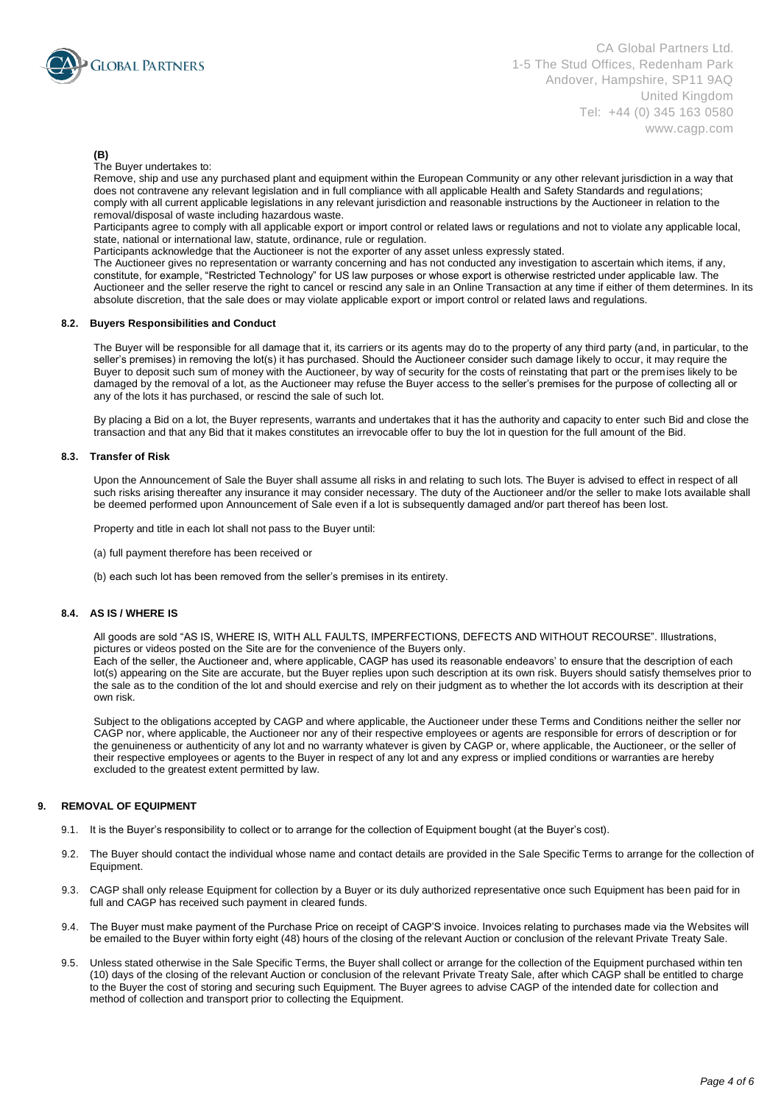

# **(B)**

The Buyer undertakes to:

Remove, ship and use any purchased plant and equipment within the European Community or any other relevant jurisdiction in a way that does not contravene any relevant legislation and in full compliance with all applicable Health and Safety Standards and regulations; comply with all current applicable legislations in any relevant jurisdiction and reasonable instructions by the Auctioneer in relation to the removal/disposal of waste including hazardous waste.

Participants agree to comply with all applicable export or import control or related laws or regulations and not to violate any applicable local, state, national or international law, statute, ordinance, rule or regulation.

Participants acknowledge that the Auctioneer is not the exporter of any asset unless expressly stated.

The Auctioneer gives no representation or warranty concerning and has not conducted any investigation to ascertain which items, if any, constitute, for example, "Restricted Technology" for US law purposes or whose export is otherwise restricted under applicable law. The Auctioneer and the seller reserve the right to cancel or rescind any sale in an Online Transaction at any time if either of them determines. In its absolute discretion, that the sale does or may violate applicable export or import control or related laws and regulations.

# **8.2. Buyers Responsibilities and Conduct**

The Buyer will be responsible for all damage that it, its carriers or its agents may do to the property of any third party (and, in particular, to the seller's premises) in removing the lot(s) it has purchased. Should the Auctioneer consider such damage likely to occur, it may require the Buyer to deposit such sum of money with the Auctioneer, by way of security for the costs of reinstating that part or the premises likely to be damaged by the removal of a lot, as the Auctioneer may refuse the Buyer access to the seller's premises for the purpose of collecting all or any of the lots it has purchased, or rescind the sale of such lot.

By placing a Bid on a lot, the Buyer represents, warrants and undertakes that it has the authority and capacity to enter such Bid and close the transaction and that any Bid that it makes constitutes an irrevocable offer to buy the lot in question for the full amount of the Bid.

### **8.3. Transfer of Risk**

Upon the Announcement of Sale the Buyer shall assume all risks in and relating to such lots. The Buyer is advised to effect in respect of all such risks arising thereafter any insurance it may consider necessary. The duty of the Auctioneer and/or the seller to make lots available shall be deemed performed upon Announcement of Sale even if a lot is subsequently damaged and/or part thereof has been lost.

Property and title in each lot shall not pass to the Buyer until:

- (a) full payment therefore has been received or
- (b) each such lot has been removed from the seller's premises in its entirety.

### **8.4. AS IS / WHERE IS**

All goods are sold "AS IS, WHERE IS, WITH ALL FAULTS, IMPERFECTIONS, DEFECTS AND WITHOUT RECOURSE". Illustrations, pictures or videos posted on the Site are for the convenience of the Buyers only.

Each of the seller, the Auctioneer and, where applicable, CAGP has used its reasonable endeavors' to ensure that the description of each lot(s) appearing on the Site are accurate, but the Buyer replies upon such description at its own risk. Buyers should satisfy themselves prior to the sale as to the condition of the lot and should exercise and rely on their judgment as to whether the lot accords with its description at their own risk.

Subject to the obligations accepted by CAGP and where applicable, the Auctioneer under these Terms and Conditions neither the seller nor CAGP nor, where applicable, the Auctioneer nor any of their respective employees or agents are responsible for errors of description or for the genuineness or authenticity of any lot and no warranty whatever is given by CAGP or, where applicable, the Auctioneer, or the seller of their respective employees or agents to the Buyer in respect of any lot and any express or implied conditions or warranties are hereby excluded to the greatest extent permitted by law.

### **9. REMOVAL OF EQUIPMENT**

- 9.1. It is the Buyer's responsibility to collect or to arrange for the collection of Equipment bought (at the Buyer's cost).
- 9.2. The Buyer should contact the individual whose name and contact details are provided in the Sale Specific Terms to arrange for the collection of Equipment.
- 9.3. CAGP shall only release Equipment for collection by a Buyer or its duly authorized representative once such Equipment has been paid for in full and CAGP has received such payment in cleared funds.
- 9.4. The Buyer must make payment of the Purchase Price on receipt of CAGP'S invoice. Invoices relating to purchases made via the Websites will be emailed to the Buyer within forty eight (48) hours of the closing of the relevant Auction or conclusion of the relevant Private Treaty Sale.
- 9.5. Unless stated otherwise in the Sale Specific Terms, the Buyer shall collect or arrange for the collection of the Equipment purchased within ten (10) days of the closing of the relevant Auction or conclusion of the relevant Private Treaty Sale, after which CAGP shall be entitled to charge to the Buyer the cost of storing and securing such Equipment. The Buyer agrees to advise CAGP of the intended date for collection and method of collection and transport prior to collecting the Equipment.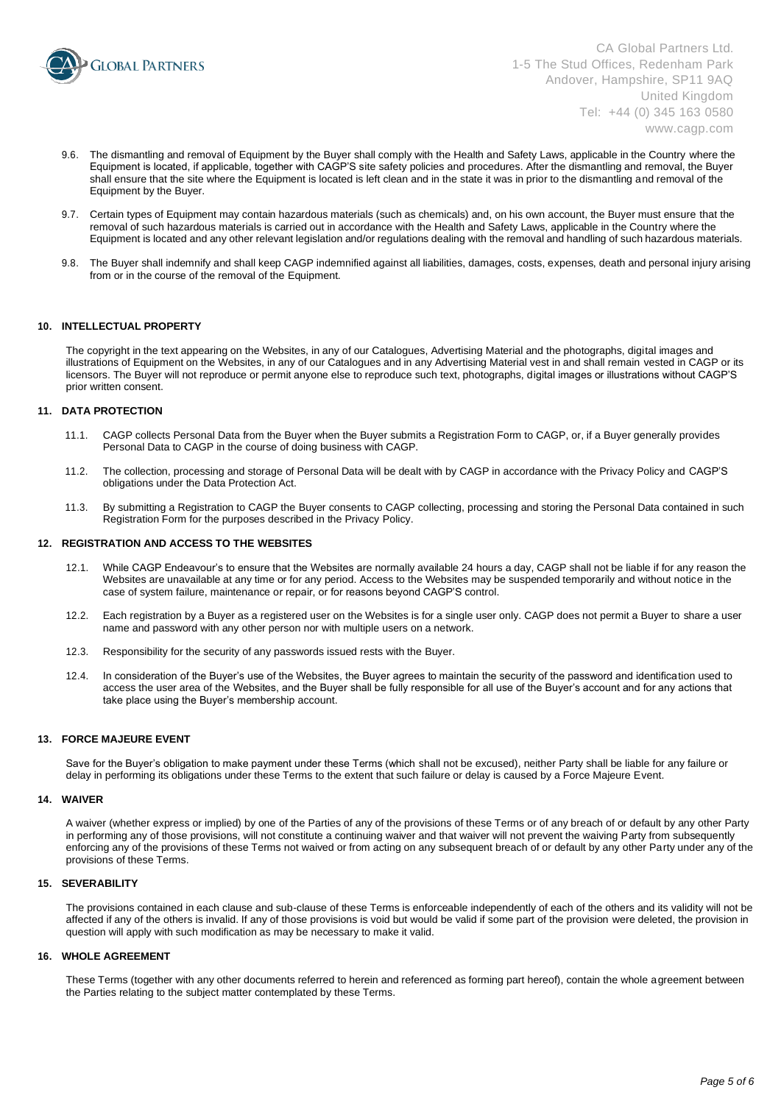

CA Global Partners Ltd. 1-5 The Stud Offices, Redenham Park Andover, Hampshire, SP11 9AQ United Kingdom Tel: +44 (0) 345 163 0580 www.cagp.com

- 9.6. The dismantling and removal of Equipment by the Buyer shall comply with the Health and Safety Laws, applicable in the Country where the Equipment is located, if applicable, together with CAGP'S site safety policies and procedures. After the dismantling and removal, the Buyer shall ensure that the site where the Equipment is located is left clean and in the state it was in prior to the dismantling and removal of the Equipment by the Buyer.
- 9.7. Certain types of Equipment may contain hazardous materials (such as chemicals) and, on his own account, the Buyer must ensure that the removal of such hazardous materials is carried out in accordance with the Health and Safety Laws, applicable in the Country where the Equipment is located and any other relevant legislation and/or regulations dealing with the removal and handling of such hazardous materials.
- 9.8. The Buyer shall indemnify and shall keep CAGP indemnified against all liabilities, damages, costs, expenses, death and personal injury arising from or in the course of the removal of the Equipment.

# **10. INTELLECTUAL PROPERTY**

The copyright in the text appearing on the Websites, in any of our Catalogues, Advertising Material and the photographs, digital images and illustrations of Equipment on the Websites, in any of our Catalogues and in any Advertising Material vest in and shall remain vested in CAGP or its licensors. The Buyer will not reproduce or permit anyone else to reproduce such text, photographs, digital images or illustrations without CAGP'S prior written consent.

#### **11. DATA PROTECTION**

- 11.1. CAGP collects Personal Data from the Buyer when the Buyer submits a Registration Form to CAGP, or, if a Buyer generally provides Personal Data to CAGP in the course of doing business with CAGP.
- 11.2. The collection, processing and storage of Personal Data will be dealt with by CAGP in accordance with the Privacy Policy and CAGP'S obligations under the Data Protection Act.
- 11.3. By submitting a Registration to CAGP the Buyer consents to CAGP collecting, processing and storing the Personal Data contained in such Registration Form for the purposes described in the Privacy Policy.

#### **12. REGISTRATION AND ACCESS TO THE WEBSITES**

- 12.1. While CAGP Endeavour's to ensure that the Websites are normally available 24 hours a day, CAGP shall not be liable if for any reason the Websites are unavailable at any time or for any period. Access to the Websites may be suspended temporarily and without notice in the case of system failure, maintenance or repair, or for reasons beyond CAGP'S control.
- 12.2. Each registration by a Buyer as a registered user on the Websites is for a single user only. CAGP does not permit a Buyer to share a user name and password with any other person nor with multiple users on a network.
- 12.3. Responsibility for the security of any passwords issued rests with the Buyer.
- 12.4. In consideration of the Buyer's use of the Websites, the Buyer agrees to maintain the security of the password and identification used to access the user area of the Websites, and the Buyer shall be fully responsible for all use of the Buyer's account and for any actions that take place using the Buyer's membership account.

### **13. FORCE MAJEURE EVENT**

Save for the Buyer's obligation to make payment under these Terms (which shall not be excused), neither Party shall be liable for any failure or delay in performing its obligations under these Terms to the extent that such failure or delay is caused by a Force Majeure Event.

### **14. WAIVER**

A waiver (whether express or implied) by one of the Parties of any of the provisions of these Terms or of any breach of or default by any other Party in performing any of those provisions, will not constitute a continuing waiver and that waiver will not prevent the waiving Party from subsequently enforcing any of the provisions of these Terms not waived or from acting on any subsequent breach of or default by any other Party under any of the provisions of these Terms.

### **15. SEVERABILITY**

The provisions contained in each clause and sub-clause of these Terms is enforceable independently of each of the others and its validity will not be affected if any of the others is invalid. If any of those provisions is void but would be valid if some part of the provision were deleted, the provision in question will apply with such modification as may be necessary to make it valid.

# **16. WHOLE AGREEMENT**

These Terms (together with any other documents referred to herein and referenced as forming part hereof), contain the whole agreement between the Parties relating to the subject matter contemplated by these Terms.